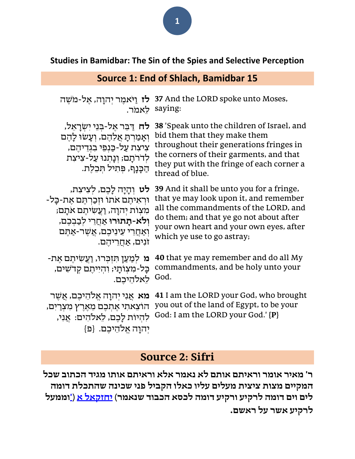## **Studies in Bamidbar: The Sin of the Spies and Selective Perception**

## **Source 1: End of Shlach, Bamidbar 15**

| <b>לז</b> וַיֹּאמֶר יִהוָה, אָל-מֹשֶׁה                                                                                                                                   | 37 And the LORD spoke unto Moses,                                                                                                                                                                                                |
|--------------------------------------------------------------------------------------------------------------------------------------------------------------------------|----------------------------------------------------------------------------------------------------------------------------------------------------------------------------------------------------------------------------------|
| לאמר.                                                                                                                                                                    | saying:                                                                                                                                                                                                                          |
| <b>לח</b> דַּבֵּר אֵל-בִּנֵי יִשְׂרַאֵל,<br>וְאָמַרְתָּ אֲלֶהֶם, וְעָשוּ לָהֶם<br>צִיצִת עַל-כַּנִפֵי בִגְדֵיהֶם,<br>לדרתם; ונתנו על-ציצת<br>הַכַּנַף, פִּתִיל תִּכֵלֵת. | 38 'Speak unto the children of Israel, and<br>bid them that they make them<br>throughout their generations fringes in<br>the corners of their garments, and that<br>they put with the fringe of each corner a<br>thread of blue. |
| לט וְהַיַה לַבֶם, לִצְיצָת,                                                                                                                                              | 39 And it shall be unto you for a fringe,                                                                                                                                                                                        |
| וּרְאִיתֵם אֹתוֹ וּזְכַרְתֵּם אֵת-כַּל-                                                                                                                                  | that ye may look upon it, and remember                                                                                                                                                                                           |
| מִצוֹת יִהוָה, וַעֲשִׂיתֵם אֹתָם;                                                                                                                                        | all the commandments of the LORD, and                                                                                                                                                                                            |
| וְלֹא-תַתוּרוּ אַחֲרֵי לִבַבְכֶם,                                                                                                                                        | do them; and that ye go not about after                                                                                                                                                                                          |
| וְאַחֲרִי עֵינִיכֶם, אֲשֶׁר-אַחֵם                                                                                                                                        | your own heart and your own eyes, after                                                                                                                                                                                          |
| זנים, אַחֲרִיהֵם.                                                                                                                                                        | which ye use to go astray;                                                                                                                                                                                                       |
| <b>מ</b> למַעַן תּזִכְּרוּ, וַעֲשִׂיתֵם אֵת-                                                                                                                             | 40 that ye may remember and do all My                                                                                                                                                                                            |
| כַל-מִצְוֹתַי; וְהִיִיתֵם קִדֹשִׁים,                                                                                                                                     | commandments, and be holy unto your                                                                                                                                                                                              |
| לאלהיכם.                                                                                                                                                                 | God.                                                                                                                                                                                                                             |
| מא אַנִי יִהוָה אֵלהֵיכֵם, אֲשֶׁר<br>הוֹצֵאתִי אֵתִכֵם מֵאֵרֵץ מִצְרַיִם,<br>להיות לַכֶם, לַאלהִים: אֲנִי,<br>יְהוַה אֵלֹהֵיכֵם. {פ                                      | 41 I am the LORD your God, who brought<br>you out of the land of Egypt, to be your<br>God: I am the LORD your God.' {P}                                                                                                          |

## **Source 2: Sifri**

**ר'ּמאירּאומרּוראיתםּאותםּלאּנאמרּאלאּוראיתםּאותוּמגידּהכתובּשכל המקייםּ מצות ציצית מעליםּעליוּכאלוּהקבילּפניּשכינהּשהתכלתּדומהּ ליםּויםּדומהּלרקיעּורקיעּדומהּלכסאּהכבודּשנאמרּ) [יחזקאלּא](/Ezekiel.1) [\('](/Ezekiel.1)וממעלּ לרקיעּאשרּעלּראשםּ.ּ**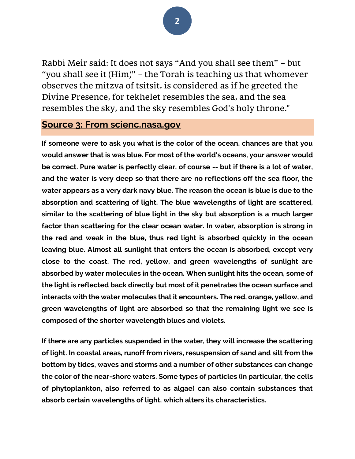Rabbi Meir said: It does not says "And you shall see them" – but "you shall see it (Him)" – the Torah is teaching us that whomever observes the mitzva of tsitsit, is considered as if he greeted the Divine Presence, for tekhelet resembles the sea, and the sea resembles the sky, and the sky resembles God's holy throne."

### **Source 3: From scienc.nasa.gov**

**If someone were to ask you what is the color of the ocean, chances are that you would answer that is was blue. For most of the world's oceans, your answer would be correct. Pure water is perfectly clear, of course -- but if there is a lot of water, and the water is very deep so that there are no reflections off the sea floor, the water appears as a very dark navy blue. The reason the ocean is blue is due to the absorption and scattering of light. The blue wavelengths of light are scattered, similar to the scattering of blue light in the sky but absorption is a much larger factor than scattering for the clear ocean water. In water, absorption is strong in the red and weak in the blue, thus red light is absorbed quickly in the ocean leaving blue. Almost all sunlight that enters the ocean is absorbed, except very close to the coast. The red, yellow, and green wavelengths of sunlight are absorbed by water molecules in the ocean. When sunlight hits the ocean, some of the light is reflected back directly but most of it penetrates the ocean surface and interacts with the water molecules that it encounters. The red, orange, yellow, and green wavelengths of light are absorbed so that the remaining light we see is composed of the shorter wavelength blues and violets.**

**If there are any particles suspended in the water, they will increase the scattering of light. In coastal areas, runoff from rivers, resuspension of sand and silt from the bottom by tides, waves and storms and a number of other substances can change the color of the near-shore waters. Some types of particles (in particular, the cells of phytoplankton, also referred to as algae) can also contain substances that absorb certain wavelengths of light, which alters its characteristics.**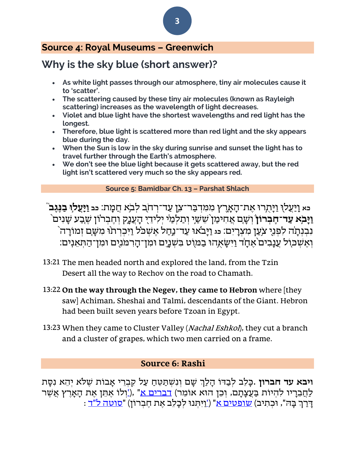## **Source 4: Royal Museums – Greenwich**

# **Why is the sky blue (short answer)?**

- **As white light passes through our atmosphere, tiny air molecules cause it to 'scatter'.**
- **The scattering caused by these tiny air molecules (known as Rayleigh scattering) increases as the wavelength of light decreases.**
- **Violet and blue light have the shortest wavelengths and red light has the longest.**
- **Therefore, blue light is scattered more than red light and the sky appears blue during the day.**
- **When the Sun is low in the sky during sunrise and sunset the light has to travel further through the Earth's atmosphere.**
- **We don't see the blue light because it gets scattered away, but the red light isn't scattered very much so the sky appears red.**

**Source 5: Bamidbar Ch. 13 – Parshat Shlach**

**כא** ַַֽו ַיֲע ֖לו ַו ָי ֣ת ֑ רו אֶ ת־הָ אָ ֥ רֶ ץ מִ מ ִ דְ ב ַ ר־צִ ֖ ן עַ ד־רְ חֹּ ֥ ב לְ בֹּ א חֲ מַָֽ ת׃ **כב ַוַַּֽיֲּע ֣לוּ ַב ֶּּנֶּג ֮בּ וַיַּבֹא עַד־חֵבְרוֹן** וְשַׁם <u>א</u>ַחִימַן שֵׁשֵׁי וְתַלְמַי יִלְידֵי הָעֲנֶק וְחֵבְרוֹן שֵׁבֲע שָׁנִים נִבְנְתָה לִפְנֵי צ<sup>ְ</sup>עַן מִצְרָיִם: נג וַיָּבֹאוּ עַד־נַחַל אֶשְׁכֹּל וַיִּכְרְתוּ מִשָּׁם זְמוֹרָה וְאֵשְׁכוֹל עֲנָבִים ֹאֵחָר וַיִּשָׂאָהוּ בַמוֹט בִשְׁנֵיֵם וּמִן־הָרִמֹּנֻים וּמִן־הַתְּאֵנִים:

- 13:21 The men headed north and explored the land, from the [Tzin](http://bible.ort.org/books/pentd2.asp?ACTION=displaypage&BOOK=4&CHAPTER=13#C2979) [Desert](http://bible.ort.org/books/pentd2.asp?ACTION=displaypage&BOOK=4&CHAPTER=13#C2979) all the way to [Rechov](http://bible.ort.org/books/pentd2.asp?ACTION=displaypage&BOOK=4&CHAPTER=13#C2980) on the road to [Chamath.](http://bible.ort.org/books/pentd2.asp?ACTION=displaypage&BOOK=4&CHAPTER=13#C2981)
- 13:22 **On the way through the Negev, [they](http://bible.ort.org/books/pentd2.asp?ACTION=displaypage&BOOK=4&CHAPTER=13#C2982) came to Hebron** where [they saw] [Achiman,](http://bible.ort.org/books/pentd2.asp?ACTION=displaypage&BOOK=4&CHAPTER=13#C2983) Sheshai and Talmi, descendants of the [Giant.](http://bible.ort.org/books/pentd2.asp?ACTION=displaypage&BOOK=4&CHAPTER=13#C2984) Hebron had been built seven years before [Tzoan](http://bible.ort.org/books/pentd2.asp?ACTION=displaypage&BOOK=4&CHAPTER=13#C2985) in Egypt.
- 13:23 When they came to [Cluster](http://bible.ort.org/books/pentd2.asp?ACTION=displaypage&BOOK=4&CHAPTER=13#C2986) Valley (*Nachal Eshkol*), they cut a branch and a cluster of grapes, which two men carried on a [frame.](http://bible.ort.org/books/pentd2.asp?ACTION=displaypage&BOOK=4&CHAPTER=13#C2987)

### **Source 6: Rashi**

**ויבא עד חברון .**כַּלֶב לִבְדּוֹ הַלַּךְ שַׁם וְנִשְׁתַּטֶּחַ עַל קִבְרֵי אַבוֹת שָׁלֹא יְהֶא נִסַּת לַחֲבֵרִיו לִהְיוֹת בַּעֲצָתָם, וְכֵן הוּא אוֹמֵר) <u>[דברים א](/Deuteronomy.1)</u>["](/Deuteronomy.1) ,(<u>'</u>וְלוֹ אֶתֵּן אֶת הָאָרֶץ אֲשֶׁר -<br>דַרַך בָה", וכתיב) <u>שופטים א</u>" ('וַיִּתְנוּ לְכָלֶב אֶת חֵבְרוֹן) "<u>[סוטה ל"ד](/Sotah.34a)</u> :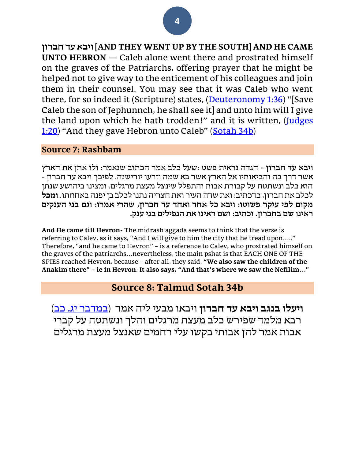## **4**

**חברוןּעדּויבא] AND THEY WENT UP BY THE SOUTH] AND HE CAME UNTO HEBRON** — Caleb alone went there and prostrated himself on the graves of the Patriarchs, offering prayer that he might be helped not to give way to the enticement of his colleagues and join them in their counsel. You may see that it was Caleb who went there, for so indeed it (Scripture) states, [\(Deuteronomy 1:36](/Deuteronomy.1.36)) "[Save Caleb the son of Jephunnch, he shall see it] and unto him will I give the land upon which he hath trodden!" and it is written, (Judges [1:20](/Judges.1.20)) "And they gave Hebron unto Caleb" ([Sotah 34b\)](/Sotah.34b)

#### **Source 7: Rashbam**

**ויבאּעדּחברון -** הגדה נראית פשט :שעל כלב אמר הכתוב שנאמר: ולו אתן את הארץ אשר דרך בה והביאותיו אל הארץ אשר בא שמה וזרעו יורישנה. לפיכך ויבא עד חברון - הוא כלב ונשתטח על קבורת אבות והתפלל שינצל מעצת מרגלים. ומצינו ביהושע שנתן לכלב את חברון, כדכתיב: ואת שדה העיר ואת חצריה נתנו לכלב בן יפנה באחוזתו. **ומכלּ מקוםּלפי ּעיקרּפשוטוּ:ויבאּכלּאחדּואחדּעדּחברוןּ,שהרי ּאמרוּ:וגםּבני ּהענקיםּ ראינוּשםּבחברוןּ.וכתיבּ:ושםּראינוּאתּהנפיליםּבניּענק.**

**And He came till Hevron**- The midrash aggada seems to think that the verse is referring to Calev, as it says, "And I will give to him the city that he tread upon….." Therefore, "and he came to Hevron" – is a reference to Calev, who prostrated himself on the graves of the patriarchs…nevertheless, the main pshat is that EACH ONE OF THE SPIES reached Hevron, because - after all, they said, "We also saw the children of the **Anakimּthere"ּ– ie in Hevron.ּItּalsoּsays,ּ"Andּthat'sּwhereּweּsawּtheּNefilim…"**

**Source 8: Talmud Sotah 34b**

**ויעלוּבנגבּויבאּעדּחברוןּ**ויבאו מבעי ליה אמר ([במדבר יג, כב](/Numbers.13.22)) רבא מלמד שפירש כלב מעצת מרגלים והלך ונשתטח על קברי אבות אמר להן אבותי בקשו עלי רחמים שאנצל מעצת מרגלים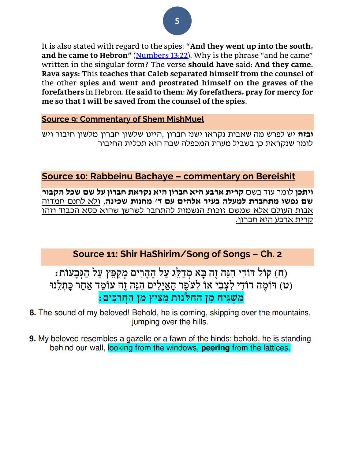It is also stated with regard to the spies: "And they went up into the south, **and he came to Hebron"** [\(Numbers 13:22](/Numbers.13.22)). Why is the phrase "and he came" written in the singular form? The verse **should have** said: **And they came. Rava says:** This **teaches that Caleb separated himself from the counsel of** the other **spies and went and prostrated himself on the graves of the forefathers** in Hebron. **He said to them: My forefathers, pray for mercy for me so that I will be saved from the counsel of the spies.**

**Source 9: Commentary of Shem MishMuel**

**ובזה** יש לפרש מה שאבות נקראו ישני חברון ,היינו שלשון חברון מלשון חיבור ויש לומר שנקראת כן בשביל מערת המכפלה שבה הוא תכלית החיבור

## **Source 10: Rabbeinu Bachaye – commentary on Bereishit**

**ויתכן** לומר עוד בשם **קרית ארבע היא חברון היא נקראת חברון על שם שכל הקבור שם נפשו מתחברת למעלה בעיר אלהים עם ד' מחנות שכינה**, ולא לחנם חמדוה אבות העולם אלא שמשם זוכות הנשמות להתחבר לשרשן שהוא כסא הכבוד וזהו קרית ארבע היא חברון.

## **Source 11: Shir HaShirim/Song of Songs – Ch. 2**

ּוּח) קוֹל דּוֹדִי הָנֵּה זֶה בָּא מְדַלֵּג עַל הֶהָרִים מְקַפֵּץ עַל הַגִּבָעוֹת: (ט) דּוֹמֶה דוֹדִי לְצְבִי אוֹ לְעֹפֶר הָאַיָּלִים הִגָּה זֶה עוֹמֵד אַחַר כָּתְלֵנוּ <mark>ּמַשָׁגִּיחַ מִן הַחַלֹּנוֹת מֵצְיץ מְן הַחֲרַכִּים :</mark>

- 8. The sound of my beloved! Behold, he is coming, skipping over the mountains, jumping over the hills.
- **9.** My beloved resembles a gazelle or a fawn of the hinds; behold, he is standing behind our wall, looking from the windows, **peering** from the lattices.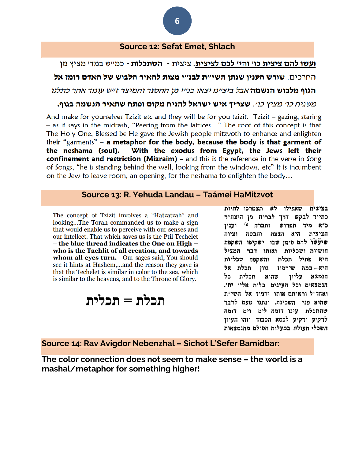#### **Source 12: Sefat Emet, Shlach**

**ועשו להם ציצית כו׳ והי׳ לכם לציצית.** ציצית **- הסתכלות -** כמייש במדי מציץ מן

החרכים. שורש הענין שנתן השי"ת לבנ"י מצות להאיר הלבוש של האדם רומז אל

הג**וף מלבוש הנשמה** אבל ביצ״מ יצאו בנ״י מן ההסגר והמיצר ז״ש עומד אחר כתלנו

#### *משגיח כו׳ מציץ כו׳.* שצריך איש ישראל להניח מקום ופתח שתאיר הנשמה בגוף.

And make for yourselves Tzizit etc and they will be for you tzizit. Tzizit – gazing, staring - as it says in the midrash, "Peering from the lattices..." The root of this concept is that The Holy One, Blessed be He gave the Jewish people mitzvoth to enhance and enlighten their "garments"  $-$  a metaphor for the body, because the body is that garment of With the exodus from Egypt, the Jews left their the neshama (soul). confinement and restriction (Mizraim) - and this is the reference in the verse in Song of Songs, "he is standing behind the wall, looking from the windows, etc" It is incumbent on the Jew to leave room, an opening, for the neshama to enlighten the body...

#### **Source 13: R. Yehuda Landau – Taámei HaMitzvot**

The concept of Tzizit involves a "Hatzatzah" and looking...The Torah commanded us to make a sign that would enable us to perceive with our senses and our intellect. That which saves us is the Ptil Techelet - the blue thread indicates the One on High who is the Tachlit of all creation, and towards whom all eyes turn. Our sages said, You should see it hints at Hashem,...and the reason they gave is that the Techelet is similar in color to the sea, which is similar to the heavens, and to the Throne of Glory.

תכלת = תכלית

בציצית שאפילו לא תצטרכו להיות כתייר לבקש דרך לברוח מן היצה"ר ותברח <sup>א)</sup> ועניו כ"א מיד תפרוש וציוה והבטה היא הצצה הציצית שיעשו להם סימן שבו ישקיפו השקפה חושיות ושכליות ואותו דבר המציל והשקפה שכליות היא פתיל תכלת תכלת אל היא במה שירמוז גוון תכלית כל שהוא הנמצא עליון הנמצאים וכל העינים כלות אליו ית׳. ואחו"ל וראיתם אותו ירמוז אל השי"ת שהוא פני השכינה, ונתנו טעם לדבר שהתכלת עינו דומה לים וים דומה לרקיע ורקיע לכסא הכבוד וזהו העיון השכלי העולה במעלות הסולם מהנמצאות

#### **Source 14: Rav Avigdor Nebenzhal – Sichot L'Sefer Bamidbar:**

**The color connection does not seem to make sense – the world is a mashal/metaphor for something higher!**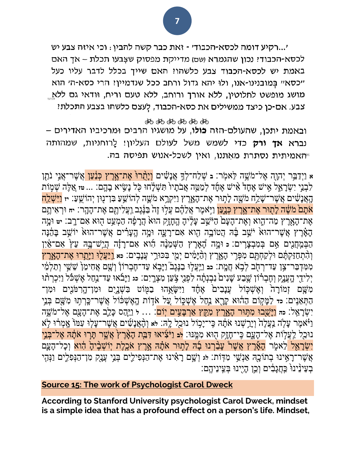

**sto do do do do do** 

ובאמת יתכן, שהעולם-הזה כולו, על מושגיו הרבים ומרכיביו האדירים -נברא אך ורק כדי לשמש משל לעולם העליון! לָרוחניות, שמהותה האמיתית נסתרת מאתנו, ואין לשכל-אנוש תפיסה בה.

א וַיְדַבֵּר יְהוָה אֶל־מֹשֶׁה לֵאמֹֽר: בּ שְׁלַח־לְךָּ אֲנָשִׁים <mark>וְיָהָרוּ אֶת־אֶרֶץ כְּנַ֫עַן אֲ</mark>שֶׁר־אֲנִי נֹתֵן לִבְנֵי יִשְׂרָאֵל אִישׁ אֶחָדْ אִישׁ אֶתָד לְמַמֵּה אֲבֹתָיוֹ תִּשְׁלָֹחוּ כָּל נָשִׂיא בָהֶם: ... <del>טזּ</del> אֵלֶּה שְׁמְוֹת ֹֽהֲא נ ֔ שים ֲא ֶשר־ שַ֥לח ֹמ ֶ֖שה ל֣תור ֶאת־ ה ֑אֶרץ ַו י ְק ֥רא ֹמ ֶֶׁ֛שה ְלהֹו ֵּ֥ש ַע בן־֖נון יְהֹוש ֹֽ עַ׃ **י ז** ַו י ְשַ֤לח אֹתָם מֹשֶׁה לָתָוּר אֶת־אֶרֶץ כְּ**נָעַן** וַיָּאמֶר אֲלֵהֶם עֲלִוּ זֶה בַּנֶּגֶב וַעֲלִיתֶם אֶת־הָהֶר: יחּ וּרְאִיתֵם אֶת־הָאֶרֶץ מַה־הֶוא וְאֶת־הָעָם הַיֹּשֵׁב עָלֶיהָ הֶחָזָק הוּא הֲרַפָּה הַמְעַט הִוּא אִם־רֵב: י<del>ט</del> וּמֵה הָאֲרֶץ אֲשֶׁר־הוּאֹ יֹשֵׁב בָּה הֲטוֹבָה הֶוא אִם־רָעֶה וּמֶה הֱעָרִ֫ים אֲשֶׁר־הוּאֹ יוֹשֵׁב בָּהֶ֫נָּה הַבְּמְחֲנִים אָם בְּמִבְצָרִים: د וּמֲה דָּאָרֶץ הַשְׁמֵנָּה הוֹא אִם־רָזָה הָיֵש־בָּה עֵץוֹ אִם־אַיִן וְהָתְחַזַּקְתֶּם וּלִקְחָתֶּם מִפְּרִי הַאֲרֵץ וְהַיַּמִים יִמֵי בְּכּוּרֵי עֲנַבִים: כֹּא <u>וְיַעֲלוּ וַיַּתְרוּ אֶת־הַאָר</u>ִץ מִמִּדְבַּר־צָן עַד־רְחָׂב לְבָא חֲמֶת: כִּב וַיִּעֲלְוּ בַנֶּגֶב וַיָּבְא עַד־חֶבְרוֹן וְשָׁם אֲחִימַן שֵׁשִׁי וְתלְמַי יִלִידֵי הָעֲנָק וְחֶבְרֹוֹן שֶבַע שָׁנִים נִבְנְתָה לִפְנֵי צִעַן מִצְרֵיִם: כג וַיַּבֿאוּ עַד־נַחַל אֶשְׁכֿל וַיִּכְרְתוּ מְשָׁם זִמוֹרָה וְאֵשְׁכָּוֹל עֲנָבִים אֱחֶד וַיִּשָׂאֶהוּ בַמִּוֹט בִּשְׁנֵיִם וּמְן־הָרְמֹּנִים וּמִן־ הַתְ אֵּ נ ֹֽ ים׃ **כד** לַמ ק֣ ֹום הַה֔ וא ק ר ֖ א נַ ֣חַל אֶ שְ כ֑ ֹול עֵַ֚ ל אֹד֣ ֹות ה ֹֽ אֶ שְ כ֔ ֹול אֲשֶ ר־כ ֹֽרְ ת֥ ו מ ש ֖ ם בְ נֵּ֥י יִשְׂרָאֵל: <sub>י</sub> ה <mark>וַיַּשֶׁבוּ מִתְּוּר הָאֲרֵץ מִקֵּץ אַרְבָּעִים יִוֹם</mark>: ... וּ וַיַּהֵס כָּלֵ֑ב אֶת־הָעֲם אֱל־מֹשֵׁה וַיֹּאמֶר עָלָה נַעֲלֶה וְיָרָשְׁנוּ אֹתָה כִּי־יָכְוֹל נוּכַל לָה: זֹא וְהָאֲנָשִׁים אֲשֶׁר־עָלוּ עִמּוֹ אָמְרוּ לִא נוּכַל לִעֲלְוֹת אֶל־הָעֶם כִּי־חָזֶק הָוּא מִמֶּנּוּ: <mark>וּב וַיֹּצִיאוּ דִּבְת הָאָּרֶץ אֲשֶׁר תַּרְוּ אֹתָה אֶל־בְנֵי</mark> יִשְׂרָאֵל לֵאמֶר הָאֲרֵץ אֲשֶׁר ּעָבַ֫רְנוּ בָדְ לַתְוּר אֹתָה אֶרֶץ אֹכֶלֶת יְוֹשָׁבָ֫יהָ הִ֫וא וְכָל־הָעֲם אֵשֶר־רָאָינוּ בְתוֹכָהְ אַנְשֵׁי מִדְּוֹת: אוּ וְשָׁם רָאִינוּ אֶת־הַנְפִילֵים בְּנֵי עֲנָק מִן־הַנְפִלֵים וַנְהִי בִעֵינֵינוּ כַּחֲגַבִים וְכֵן הַיָינוּ בְעֵינֵיהֶם:

#### **Source 15: The work of Psychologist Carol Dweck**

**[According to Stanford University psychologist Carol Dweck,](https://mindsetonline.com/whatisit/about/) mindset is a simple idea that has a profound effect on a person's life. Mindset,**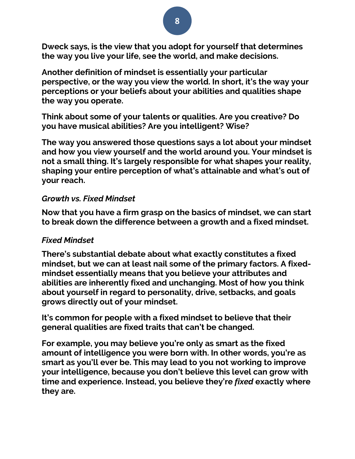**8**

**Dweck says, is the view that you adopt for yourself that determines the way you live your life, see the world, and make decisions.**

**Another definition of mindset is essentially your particular perspective, or the way you view the world. In short, it's the way your perceptions or your beliefs about your abilities and qualities shape the way you operate.**

**Think about some of your talents or qualities. Are you creative? Do you have musical abilities? Are you intelligent? Wise?**

**The way you answered those questions says a lot about your mindset and how you view yourself and the world around you. Your mindset is not a small thing. It's largely responsible for what shapes your reality, shaping your entire perception of what's attainable and what's out of your reach.**

### *Growth vs. Fixed Mindset*

**Now that you have a firm grasp on the basics of mindset, we can start to break down the difference between a growth and a fixed mindset.**

### *Fixed Mindset*

**There's substantial debate about what exactly constitutes a fixed mindset, but we can at least nail some of the primary factors. A fixedmindset essentially means that you believe your attributes and abilities are inherently fixed and unchanging. Most of how you think about yourself in regard to personality, drive, setbacks, and goals grows directly out of your mindset.**

**It's common for people with a fixed mindset to believe that their general qualities are fixed traits that can't be changed.**

**For example, you may believe you're only as smart as the fixed amount of intelligence you were born with. In other words, you're as smart as you'll ever be. This may lead to you not working to improve your intelligence, because you don't believe this level can grow with time and experience. Instead, you believe they're** *fixed* **exactly where they are.**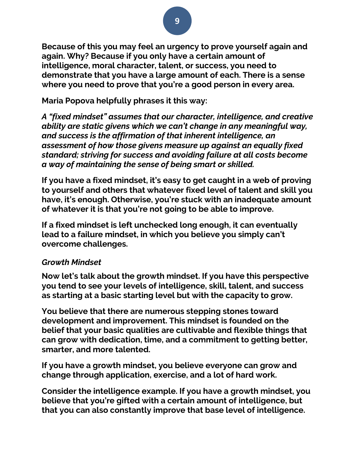**Because of this you may feel an urgency to prove yourself again and again. Why? Because if you only have a certain amount of intelligence, moral character, talent, or success, you need to demonstrate that you have a large amount of each. There is a sense where you need to prove that you're a good person in every area.**

**Maria Popova helpfully [phrases it this way:](https://www.brainpickings.org/2014/01/29/carol-dweck-mindset/)**

*A "fixed mindset" assumes that our character, intelligence, and creative ability are static givens which we can't change in any meaningful way, and success is the affirmation of that inherent intelligence, an assessment of how those givens measure up against an equally fixed standard; striving for success and avoiding failure at all costs become a way of maintaining the sense of being smart or skilled.*

**If you have a fixed mindset, it's easy to get caught in a web of proving to yourself and others that whatever fixed level of talent and skill you have, it's enough. Otherwise, you're stuck with an inadequate amount of whatever it is that you're not going to be able to improve.**

**If a fixed mindset is left unchecked long enough, it can eventually lead to a [failure mindset](https://careersinpsychology.org/ten-worst-habits-mental-health/), in which you believe you simply can't overcome challenges.**

## *Growth Mindset*

**Now let's talk about the growth mindset. If you have this perspective you tend to see your levels of intelligence, skill, talent, and success as starting at a basic starting level but with the capacity to grow.**

**You believe that there are numerous stepping stones toward development and improvement. This mindset is founded on the belief that your basic qualities are cultivable and flexible things that can grow with dedication, time, and a commitment to getting better, smarter, and more talented.**

**If you have a growth mindset, you believe everyone can grow and change through application, exercise, and a lot of hard work.**

**Consider the intelligence example. If you have a growth mindset, you believe that you're gifted with a certain amount of intelligence, but that you can also constantly improve that base level of intelligence.**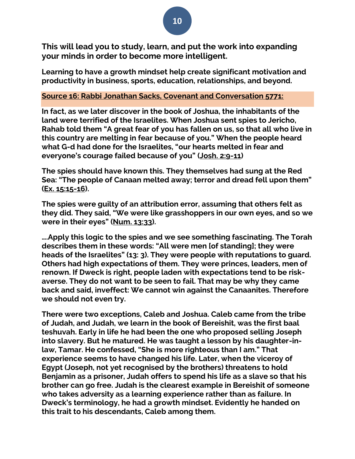### **This will lead you to study, learn, and put the work into expanding your minds in order to become more intelligent.**

**Learning to have a growth mindset help create significant motivation and productivity in business, sports, education, relationships, and beyond.**

### **Source 16: Rabbi Jonathan Sacks, Covenant and Conversation 5771:**

**In fact, as we later discover in the book of Joshua, the inhabitants of the land were terrified of the Israelites. When Joshua sent spies to Jericho, Rahab told them "A great fear of you has fallen on us, so that all who live in this country are melting in fear because of you." When the people heard what G-d had done for the Israelites, "our hearts melted in fear and everyone's courage failed because of you" [\(Josh. 2:9-11\)](https://www.sefaria.org/Joshua.2.9-11?lang=he-en&utm_source=sef_linker)**

**The spies should have known this. They themselves had sung at the Red Sea: "The people of Canaan melted away; terror and dread fell upon them" [\(Ex. 15:15-16\)](https://www.sefaria.org/Exodus.15.15-16?lang=he-en&utm_source=sef_linker).**

**The spies were guilty of an attribution error, assuming that others felt as they did. They said, "We were like grasshoppers in our own eyes, and so we were in their eyes" [\(Num. 13:33\)](https://www.sefaria.org/Numbers.13.33?lang=he-en&utm_source=sef_linker).** 

**….Apply this logic to the spies and we see something fascinating. The Torah describes them in these words: "All were men [of standing]; they were heads of the Israelites" (13: 3). They were people with reputations to guard. Others had high expectations of them. They were princes, leaders, men of renown. If Dweck is right, people laden with expectations tend to be riskaverse. They do not want to be seen to fail. That may be why they came back and said, inveffect: We cannot win against the Canaanites. Therefore we should not even try.**

**There were two exceptions, Caleb and Joshua. Caleb came from the tribe of Judah, and Judah, we learn in the book of Bereishit, was the first baal teshuvah. Early in life he had been the one who proposed selling Joseph into slavery. But he matured. He was taught a lesson by his daughter-inlaw, Tamar. He confessed, "She is more righteous than I am." That experience seems to have changed his life. Later, when the viceroy of Egypt (Joseph, not yet recognised by the brothers) threatens to hold Benjamin as a prisoner, Judah offers to spend his life as a slave so that his brother can go free. Judah is the clearest example in Bereishit of someone who takes adversity as a learning experience rather than as failure. In Dweck's terminology, he had a growth mindset. Evidently he handed on this trait to his descendants, Caleb among them.**